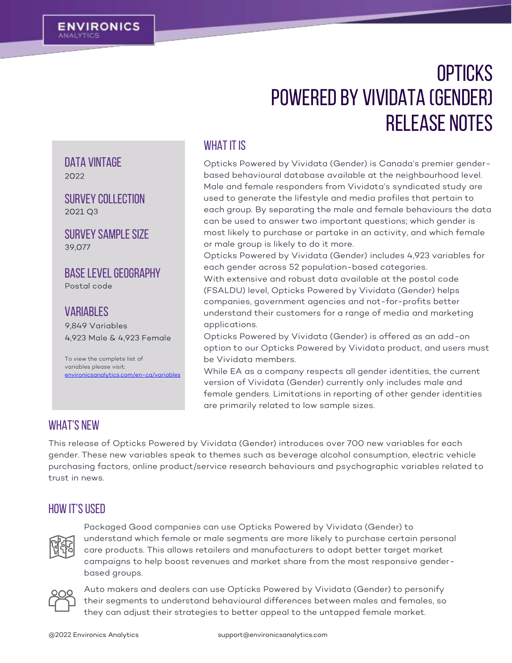DATA VINTAGF

2022

39.077

SURVEY COLLECTION<br>2021 Q3

Survey sample Size

**BASE LEVEL GEOGRAPHY** 

To view the complete list of variables please visit:

[environicsanalytics.com/en-ca/variables](http://www.environicsanalytics.com/en-us/variables)

4,923 Male & 4,923 Female

*VARIABLES* 

9,849 Variables

# **OPTICKS** Powered by vividata (Gender) Release Notes

### WHAT IT IS

Opticks Powered by Vividata (Gender) is Canada's premier genderbased behavioural database available at the neighbourhood level. Male and female responders from Vividata's syndicated study are used to generate the lifestyle and media profiles that pertain to each group. By separating the male and female behaviours the data can be used to answer two important questions; which gender is most likely to purchase or partake in an activity, and which female or male group is likely to do it more.

Opticks Powered by Vividata (Gender) includes 4,923 variables for each gender across 52 population-based categories. With extensive and robust data available at the postal code (FSALDU) level, Opticks Powered by Vividata (Gender) helps companies, government agencies and not-for-profits better understand their customers for a range of media and marketing applications.

Opticks Powered by Vividata (Gender) is offered as an add-on option to our Opticks Powered by Vividata product, and users must be Vividata members.

While EA as a company respects all gender identities, the current version of Vividata (Gender) currently only includes male and female genders. Limitations in reporting of other gender identities are primarily related to low sample sizes.

# WHAT'S NEW

This release of Opticks Powered by Vividata (Gender) introduces over 700 new variables for each gender. These new variables speak to themes such as beverage alcohol consumption, electric vehicle purchasing factors, online product/service research behaviours and psychographic variables related to trust in news.

# HOW IT'S USED



Packaged Good companies can use Opticks Powered by Vividata (Gender) to understand which female or male segments are more likely to purchase certain personal care products. This allows retailers and manufacturers to adopt better target market campaigns to help boost revenues and market share from the most responsive genderbased groups.



Auto makers and dealers can use Opticks Powered by Vividata (Gender) to personify their segments to understand behavioural differences between males and females, so they can adjust their strategies to better appeal to the untapped female market.